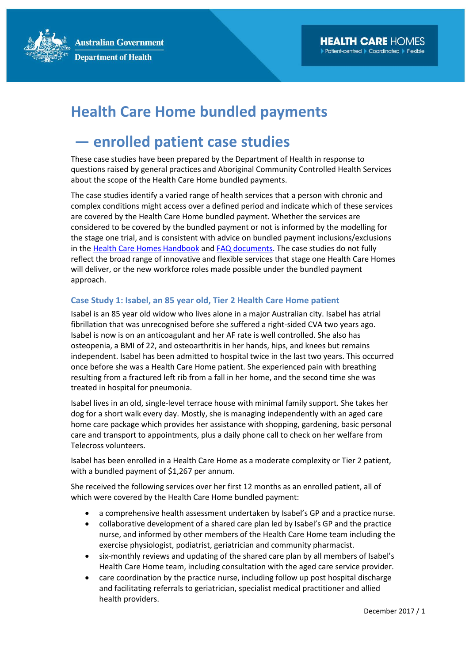**Australian Government Department of Health** 

## **Health Care Home bundled payments**

## **― enrolled patient case studies**

These case studies have been prepared by the Department of Health in response to questions raised by general practices and Aboriginal Community Controlled Health Services about the scope of the Health Care Home bundled payments.

The case studies identify a varied range of health services that a person with chronic and complex conditions might access over a defined period and indicate which of these services are covered by the Health Care Home bundled payment. Whether the services are considered to be covered by the bundled payment or not is informed by the modelling for the stage one trial, and is consistent with advice on bundled payment inclusions/exclusions in the [Health Care Homes Handbook](http://www.health.gov.au/internet/main/publishing.nsf/Content/Resources-for-general-practices) and [FAQ documents.](http://www.health.gov.au/internet/main/publishing.nsf/Content/health-care-homes-information) The case studies do not fully reflect the broad range of innovative and flexible services that stage one Health Care Homes will deliver, or the new workforce roles made possible under the bundled payment approach.

## **Case Study 1: Isabel, an 85 year old, Tier 2 Health Care Home patient**

Isabel is an 85 year old widow who lives alone in a major Australian city. Isabel has atrial fibrillation that was unrecognised before she suffered a right-sided CVA two years ago. Isabel is now is on an anticoagulant and her AF rate is well controlled. She also has osteopenia, a BMI of 22, and osteoarthritis in her hands, hips, and knees but remains independent. Isabel has been admitted to hospital twice in the last two years. This occurred once before she was a Health Care Home patient. She experienced pain with breathing resulting from a fractured left rib from a fall in her home, and the second time she was treated in hospital for pneumonia.

Isabel lives in an old, single-level terrace house with minimal family support. She takes her dog for a short walk every day. Mostly, she is managing independently with an aged care home care package which provides her assistance with shopping, gardening, basic personal care and transport to appointments, plus a daily phone call to check on her welfare from Telecross volunteers.

Isabel has been enrolled in a Health Care Home as a moderate complexity or Tier 2 patient, with a bundled payment of \$1,267 per annum.

She received the following services over her first 12 months as an enrolled patient, all of which were covered by the Health Care Home bundled payment:

- a comprehensive health assessment undertaken by Isabel's GP and a practice nurse.
- collaborative development of a shared care plan led by Isabel's GP and the practice nurse, and informed by other members of the Health Care Home team including the exercise physiologist, podiatrist, geriatrician and community pharmacist.
- six-monthly reviews and updating of the shared care plan by all members of Isabel's Health Care Home team, including consultation with the aged care service provider.
- care coordination by the practice nurse, including follow up post hospital discharge and facilitating referrals to geriatrician, specialist medical practitioner and allied health providers.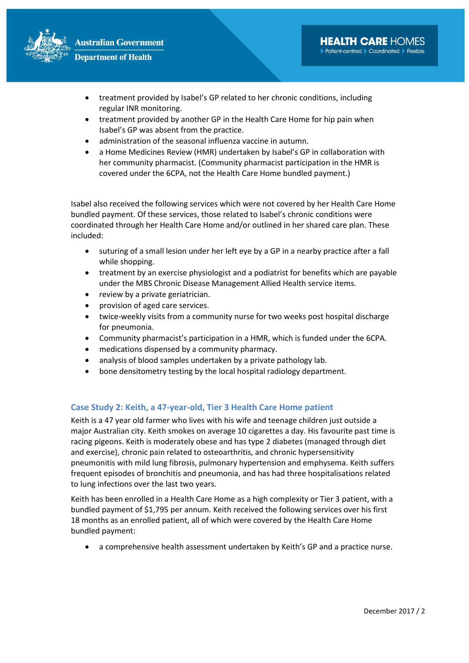

- treatment provided by Isabel's GP related to her chronic conditions, including regular INR monitoring.
- treatment provided by another GP in the Health Care Home for hip pain when Isabel's GP was absent from the practice.
- administration of the seasonal influenza vaccine in autumn.
- a Home Medicines Review (HMR) undertaken by Isabel's GP in collaboration with her community pharmacist. (Community pharmacist participation in the HMR is covered under the 6CPA, not the Health Care Home bundled payment.)

Isabel also received the following services which were not covered by her Health Care Home bundled payment. Of these services, those related to Isabel's chronic conditions were coordinated through her Health Care Home and/or outlined in her shared care plan. These included:

- suturing of a small lesion under her left eye by a GP in a nearby practice after a fall while shopping.
- treatment by an exercise physiologist and a podiatrist for benefits which are payable under the MBS Chronic Disease Management Allied Health service items.
- review by a private geriatrician.
- provision of aged care services.
- twice-weekly visits from a community nurse for two weeks post hospital discharge for pneumonia.
- Community pharmacist's participation in a HMR, which is funded under the 6CPA.
- medications dispensed by a community pharmacy.
- analysis of blood samples undertaken by a private pathology lab.
- bone densitometry testing by the local hospital radiology department.

## **Case Study 2: Keith, a 47-year-old, Tier 3 Health Care Home patient**

Keith is a 47 year old farmer who lives with his wife and teenage children just outside a major Australian city. Keith smokes on average 10 cigarettes a day. His favourite past time is racing pigeons. Keith is moderately obese and has type 2 diabetes (managed through diet and exercise), chronic pain related to osteoarthritis, and chronic hypersensitivity pneumonitis with mild lung fibrosis, pulmonary hypertension and emphysema. Keith suffers frequent episodes of bronchitis and pneumonia, and has had three hospitalisations related to lung infections over the last two years.

Keith has been enrolled in a Health Care Home as a high complexity or Tier 3 patient, with a bundled payment of \$1,795 per annum. Keith received the following services over his first 18 months as an enrolled patient, all of which were covered by the Health Care Home bundled payment:

• a comprehensive health assessment undertaken by Keith's GP and a practice nurse.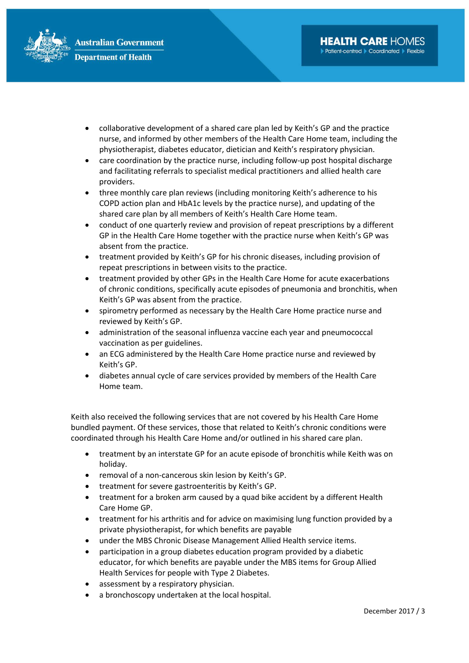

- collaborative development of a shared care plan led by Keith's GP and the practice nurse, and informed by other members of the Health Care Home team, including the physiotherapist, diabetes educator, dietician and Keith's respiratory physician.
- care coordination by the practice nurse, including follow-up post hospital discharge and facilitating referrals to specialist medical practitioners and allied health care providers.
- three monthly care plan reviews (including monitoring Keith's adherence to his COPD action plan and HbA1c levels by the practice nurse), and updating of the shared care plan by all members of Keith's Health Care Home team.
- conduct of one quarterly review and provision of repeat prescriptions by a different GP in the Health Care Home together with the practice nurse when Keith's GP was absent from the practice.
- treatment provided by Keith's GP for his chronic diseases, including provision of repeat prescriptions in between visits to the practice.
- treatment provided by other GPs in the Health Care Home for acute exacerbations of chronic conditions, specifically acute episodes of pneumonia and bronchitis, when Keith's GP was absent from the practice.
- spirometry performed as necessary by the Health Care Home practice nurse and reviewed by Keith's GP.
- administration of the seasonal influenza vaccine each year and pneumococcal vaccination as per guidelines.
- an ECG administered by the Health Care Home practice nurse and reviewed by Keith's GP.
- diabetes annual cycle of care services provided by members of the Health Care Home team.

Keith also received the following services that are not covered by his Health Care Home bundled payment. Of these services, those that related to Keith's chronic conditions were coordinated through his Health Care Home and/or outlined in his shared care plan.

- treatment by an interstate GP for an acute episode of bronchitis while Keith was on holiday.
- removal of a non-cancerous skin lesion by Keith's GP.
- treatment for severe gastroenteritis by Keith's GP.
- treatment for a broken arm caused by a quad bike accident by a different Health Care Home GP.
- treatment for his arthritis and for advice on maximising lung function provided by a private physiotherapist, for which benefits are payable
- under the MBS Chronic Disease Management Allied Health service items.
- participation in a group diabetes education program provided by a diabetic educator, for which benefits are payable under the MBS items for Group Allied Health Services for people with Type 2 Diabetes.
- assessment by a respiratory physician.
- a bronchoscopy undertaken at the local hospital.